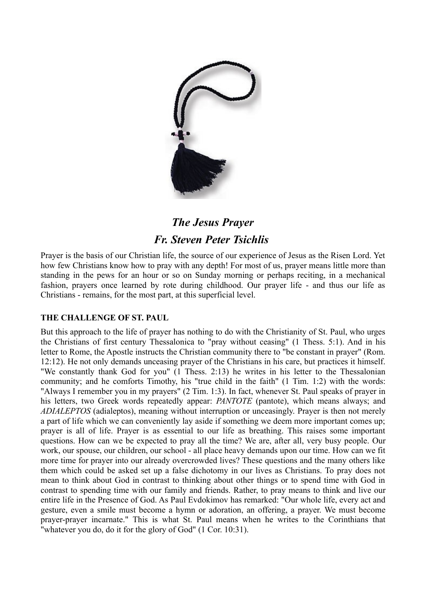

# *The Jesus Prayer Fr. Steven Peter Tsichlis*

Prayer is the basis of our Christian life, the source of our experience of Jesus as the Risen Lord. Yet how few Christians know how to pray with any depth! For most of us, prayer means little more than standing in the pews for an hour or so on Sunday morning or perhaps reciting, in a mechanical fashion, prayers once learned by rote during childhood. Our prayer life - and thus our life as Christians - remains, for the most part, at this superficial level.

# **THE CHALLENGE OF ST. PAUL**

But this approach to the life of prayer has nothing to do with the Christianity of St. Paul, who urges the Christians of first century Thessalonica to "pray without ceasing" (1 Thess. 5:1). And in his letter to Rome, the Apostle instructs the Christian community there to "be constant in prayer" (Rom. 12:12). He not only demands unceasing prayer of the Christians in his care, but practices it himself. "We constantly thank God for you" (1 Thess. 2:13) he writes in his letter to the Thessalonian community; and he comforts Timothy, his "true child in the faith" (1 Tim. 1:2) with the words: "Always I remember you in my prayers" (2 Tim. 1:3). In fact, whenever St. Paul speaks of prayer in his letters, two Greek words repeatedly appear: *PANTOTE* (pantote), which means always; and *ADIALEPTOS* (adialeptos), meaning without interruption or unceasingly. Prayer is then not merely a part of life which we can conveniently lay aside if something we deem more important comes up; prayer is all of life. Prayer is as essential to our life as breathing. This raises some important questions. How can we be expected to pray all the time? We are, after all, very busy people. Our work, our spouse, our children, our school - all place heavy demands upon our time. How can we fit more time for prayer into our already overcrowded lives? These questions and the many others like them which could be asked set up a false dichotomy in our lives as Christians. To pray does not mean to think about God in contrast to thinking about other things or to spend time with God in contrast to spending time with our family and friends. Rather, to pray means to think and live our entire life in the Presence of God. As Paul Evdokimov has remarked: "Our whole life, every act and gesture, even a smile must become a hymn or adoration, an offering, a prayer. We must become prayer-prayer incarnate." This is what St. Paul means when he writes to the Corinthians that "whatever you do, do it for the glory of God" (1 Cor. 10:31).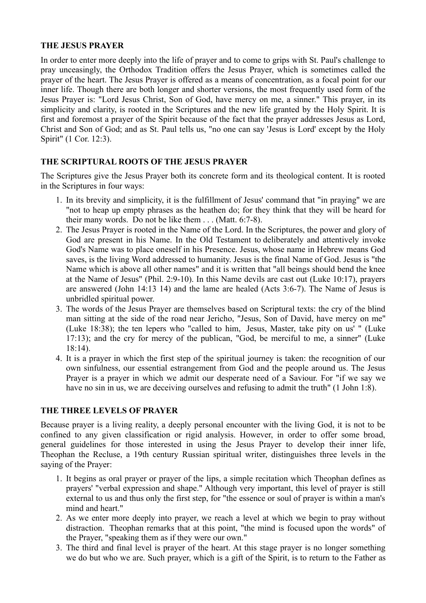## **THE JESUS PRAYER**

In order to enter more deeply into the life of prayer and to come to grips with St. Paul's challenge to pray unceasingly, the Orthodox Tradition offers the Jesus Prayer, which is sometimes called the prayer of the heart. The Jesus Prayer is offered as a means of concentration, as a focal point for our inner life. Though there are both longer and shorter versions, the most frequently used form of the Jesus Prayer is: "Lord Jesus Christ, Son of God, have mercy on me, a sinner." This prayer, in its simplicity and clarity, is rooted in the Scriptures and the new life granted by the Holy Spirit. It is first and foremost a prayer of the Spirit because of the fact that the prayer addresses Jesus as Lord, Christ and Son of God; and as St. Paul tells us, "no one can say 'Jesus is Lord' except by the Holy Spirit" (1 Cor. 12:3).

## **THE SCRIPTURAL ROOTS OF THE JESUS PRAYER**

The Scriptures give the Jesus Prayer both its concrete form and its theological content. It is rooted in the Scriptures in four ways:

- 1. In its brevity and simplicity, it is the fulfillment of Jesus' command that "in praying" we are "not to heap up empty phrases as the heathen do; for they think that they will be heard for their many words. Do not be like them . . . (Matt. 6:7-8).
- 2. The Jesus Prayer is rooted in the Name of the Lord. In the Scriptures, the power and glory of God are present in his Name. In the Old Testament to deliberately and attentively invoke God's Name was to place oneself in his Presence. Jesus, whose name in Hebrew means God saves, is the living Word addressed to humanity. Jesus is the final Name of God. Jesus is "the Name which is above all other names" and it is written that "all beings should bend the knee at the Name of Jesus" (Phil. 2:9-10). In this Name devils are cast out (Luke 10:17), prayers are answered (John 14:13 14) and the lame are healed (Acts 3:6-7). The Name of Jesus is unbridled spiritual power.
- 3. The words of the Jesus Prayer are themselves based on Scriptural texts: the cry of the blind man sitting at the side of the road near Jericho, "Jesus, Son of David, have mercy on me" (Luke 18:38); the ten lepers who "called to him, Jesus, Master, take pity on us' " (Luke 17:13); and the cry for mercy of the publican, "God, be merciful to me, a sinner" (Luke 18:14).
- 4. It is a prayer in which the first step of the spiritual journey is taken: the recognition of our own sinfulness, our essential estrangement from God and the people around us. The Jesus Prayer is a prayer in which we admit our desperate need of a Saviour. For "if we say we have no sin in us, we are deceiving ourselves and refusing to admit the truth" (1 John 1:8).

## **THE THREE LEVELS OF PRAYER**

Because prayer is a living reality, a deeply personal encounter with the living God, it is not to be confined to any given classification or rigid analysis. However, in order to offer some broad, general guidelines for those interested in using the Jesus Prayer to develop their inner life, Theophan the Recluse, a 19th century Russian spiritual writer, distinguishes three levels in the saying of the Prayer:

- 1. It begins as oral prayer or prayer of the lips, a simple recitation which Theophan defines as prayers' "verbal expression and shape." Although very important, this level of prayer is still external to us and thus only the first step, for "the essence or soul of prayer is within a man's mind and heart."
- 2. As we enter more deeply into prayer, we reach a level at which we begin to pray without distraction. Theophan remarks that at this point, "the mind is focused upon the words" of the Prayer, "speaking them as if they were our own."
- 3. The third and final level is prayer of the heart. At this stage prayer is no longer something we do but who we are. Such prayer, which is a gift of the Spirit, is to return to the Father as